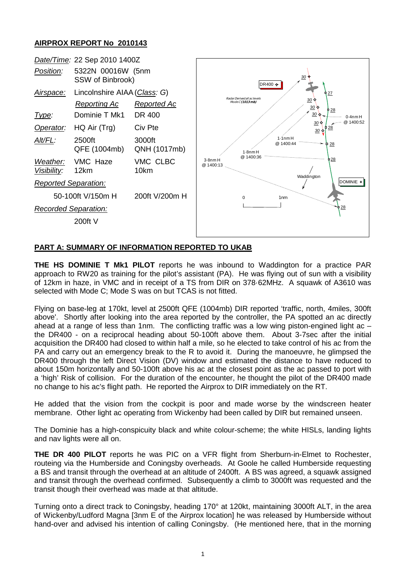## **AIRPROX REPORT No 2010143**



## **PART A: SUMMARY OF INFORMATION REPORTED TO UKAB**

**THE HS DOMINIE T Mk1 PILOT** reports he was inbound to Waddington for a practice PAR approach to RW20 as training for the pilot's assistant (PA). He was flying out of sun with a visibility of 12km in haze, in VMC and in receipt of a TS from DIR on 378·62MHz. A squawk of A3610 was selected with Mode C; Mode S was on but TCAS is not fitted.

Flying on base-leg at 170kt, level at 2500ft QFE (1004mb) DIR reported 'traffic, north, 4miles, 300ft above'. Shortly after looking into the area reported by the controller, the PA spotted an ac directly ahead at a range of less than 1nm. The conflicting traffic was a low wing piston-engined light ac  $$ the DR400 - on a reciprocal heading about 50-100ft above them. About 3-7sec after the initial acquisition the DR400 had closed to within half a mile, so he elected to take control of his ac from the PA and carry out an emergency break to the R to avoid it. During the manoeuvre, he glimpsed the DR400 through the left Direct Vision (DV) window and estimated the distance to have reduced to about 150m horizontally and 50-100ft above his ac at the closest point as the ac passed to port with a 'high' Risk of collision. For the duration of the encounter, he thought the pilot of the DR400 made no change to his ac's flight path. He reported the Airprox to DIR immediately on the RT.

He added that the vision from the cockpit is poor and made worse by the windscreen heater membrane. Other light ac operating from Wickenby had been called by DIR but remained unseen.

The Dominie has a high-conspicuity black and white colour-scheme; the white HISLs, landing lights and nav lights were all on.

**THE DR 400 PILOT** reports he was PIC on a VFR flight from Sherburn-in-Elmet to Rochester, routeing via the Humberside and Coningsby overheads. At Goole he called Humberside requesting a BS and transit through the overhead at an altitude of 2400ft. A BS was agreed, a squawk assigned and transit through the overhead confirmed. Subsequently a climb to 3000ft was requested and the transit though their overhead was made at that altitude.

Turning onto a direct track to Coningsby, heading 170° at 120kt, maintaining 3000ft ALT, in the area of Wickenby/Ludford Magna [3nm E of the Airprox location] he was released by Humberside without hand-over and advised his intention of calling Coningsby. (He mentioned here, that in the morning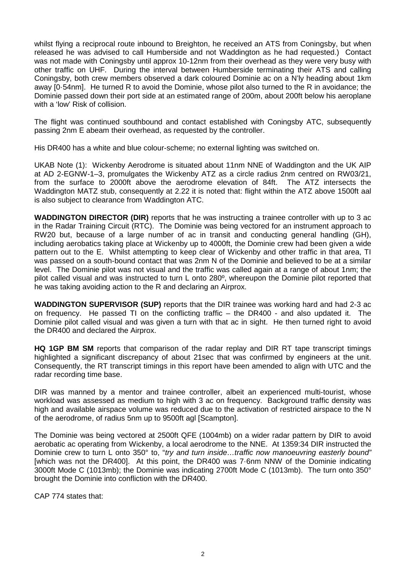whilst flying a reciprocal route inbound to Breighton, he received an ATS from Coningsby, but when released he was advised to call Humberside and not Waddington as he had requested.) Contact was not made with Coningsby until approx 10-12nm from their overhead as they were very busy with other traffic on UHF. During the interval between Humberside terminating their ATS and calling Coningsby, both crew members observed a dark coloured Dominie ac on a N'ly heading about 1km away [0·54nm]. He turned R to avoid the Dominie, whose pilot also turned to the R in avoidance; the Dominie passed down their port side at an estimated range of 200m, about 200ft below his aeroplane with a 'low' Risk of collision.

The flight was continued southbound and contact established with Coningsby ATC, subsequently passing 2nm E abeam their overhead, as requested by the controller.

His DR400 has a white and blue colour-scheme; no external lighting was switched on.

UKAB Note (1): Wickenby Aerodrome is situated about 11nm NNE of Waddington and the UK AIP at AD 2-EGNW-1–3, promulgates the Wickenby ATZ as a circle radius 2nm centred on RW03/21, from the surface to 2000ft above the aerodrome elevation of 84ft. The ATZ intersects the Waddington MATZ stub, consequently at 2.22 it is noted that: flight within the ATZ above 1500ft aal is also subject to clearance from Waddington ATC.

**WADDINGTON DIRECTOR (DIR)** reports that he was instructing a trainee controller with up to 3 ac in the Radar Training Circuit (RTC). The Dominie was being vectored for an instrument approach to RW20 but, because of a large number of ac in transit and conducting general handling (GH), including aerobatics taking place at Wickenby up to 4000ft, the Dominie crew had been given a wide pattern out to the E. Whilst attempting to keep clear of Wickenby and other traffic in that area, TI was passed on a south-bound contact that was 2nm N of the Dominie and believed to be at a similar level. The Dominie pilot was not visual and the traffic was called again at a range of about 1nm; the pilot called visual and was instructed to turn L onto 280º, whereupon the Dominie pilot reported that he was taking avoiding action to the R and declaring an Airprox.

**WADDINGTON SUPERVISOR (SUP)** reports that the DIR trainee was working hard and had 2-3 ac on frequency. He passed TI on the conflicting traffic – the DR400 - and also updated it. The Dominie pilot called visual and was given a turn with that ac in sight. He then turned right to avoid the DR400 and declared the Airprox.

**HQ 1GP BM SM** reports that comparison of the radar replay and DIR RT tape transcript timings highlighted a significant discrepancy of about 21sec that was confirmed by engineers at the unit. Consequently, the RT transcript timings in this report have been amended to align with UTC and the radar recording time base.

DIR was manned by a mentor and trainee controller, albeit an experienced multi-tourist, whose workload was assessed as medium to high with 3 ac on frequency. Background traffic density was high and available airspace volume was reduced due to the activation of restricted airspace to the N of the aerodrome, of radius 5nm up to 9500ft agl [Scampton].

The Dominie was being vectored at 2500ft QFE (1004mb) on a wider radar pattern by DIR to avoid aerobatic ac operating from Wickenby, a local aerodrome to the NNE. At 1359:34 DIR instructed the Dominie crew to turn L onto 350° to, "*try and turn inside…traffic now manoeuvring easterly bound"* [which was not the DR400]. At this point, the DR400 was 7·6nm NNW of the Dominie indicating 3000ft Mode C (1013mb); the Dominie was indicating 2700ft Mode C (1013mb). The turn onto 350° brought the Dominie into confliction with the DR400.

CAP 774 states that: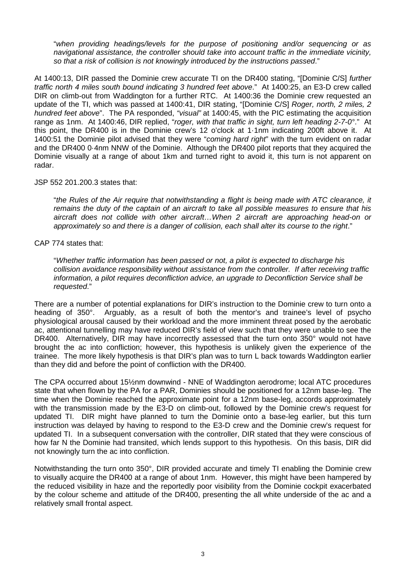"*when providing headings/levels for the purpose of positioning and/or sequencing or as navigational assistance, the controller should take into account traffic in the immediate vicinity, so that a risk of collision is not knowingly introduced by the instructions passed*."

At 1400:13, DIR passed the Dominie crew accurate TI on the DR400 stating, "[Dominie C/S] *further traffic north 4 miles south bound indicating 3 hundred feet above*." At 1400:25, an E3-D crew called DIR on climb-out from Waddington for a further RTC. At 1400:36 the Dominie crew requested an update of the TI, which was passed at 1400:41, DIR stating, "[Dominie C/S] *Roger, north, 2 miles, 2 hundred feet above*". The PA responded, *"visual"* at 1400:45, with the PIC estimating the acquisition range as 1nm. At 1400:46, DIR replied, "*roger, with that traffic in sight, turn left heading 2-7-0°*." At this point, the DR400 is in the Dominie crew's 12 o'clock at 1·1nm indicating 200ft above it. At 1400:51 the Dominie pilot advised that they were "*coming hard right*" with the turn evident on radar and the DR400 0·4nm NNW of the Dominie. Although the DR400 pilot reports that they acquired the Dominie visually at a range of about 1km and turned right to avoid it, this turn is not apparent on radar.

JSP 552 201.200.3 states that:

"*the Rules of the Air require that notwithstanding a flight is being made with ATC clearance, it remains the duty of the captain of an aircraft to take all possible measures to ensure that his aircraft does not collide with other aircraft…When 2 aircraft are approaching head-on or approximately so and there is a danger of collision, each shall alter its course to the right*."

CAP 774 states that:

"*Whether traffic information has been passed or not, a pilot is expected to discharge his collision avoidance responsibility without assistance from the controller. If after receiving traffic information, a pilot requires deconfliction advice, an upgrade to Deconfliction Service shall be requested*."

There are a number of potential explanations for DIR's instruction to the Dominie crew to turn onto a heading of 350°. Arguably, as a result of both the mentor's and trainee's level of psycho physiological arousal caused by their workload and the more imminent threat posed by the aerobatic ac, attentional tunnelling may have reduced DIR's field of view such that they were unable to see the DR400. Alternatively, DIR may have incorrectly assessed that the turn onto 350° would not have brought the ac into confliction; however, this hypothesis is unlikely given the experience of the trainee. The more likely hypothesis is that DIR's plan was to turn L back towards Waddington earlier than they did and before the point of confliction with the DR400.

The CPA occurred about 15½nm downwind - NNE of Waddington aerodrome; local ATC procedures state that when flown by the PA for a PAR, Dominies should be positioned for a 12nm base-leg. The time when the Dominie reached the approximate point for a 12nm base-leg, accords approximately with the transmission made by the E3-D on climb-out, followed by the Dominie crew's request for updated TI. DIR might have planned to turn the Dominie onto a base-leg earlier, but this turn instruction was delayed by having to respond to the E3-D crew and the Dominie crew's request for updated TI. In a subsequent conversation with the controller, DIR stated that they were conscious of how far N the Dominie had transited, which lends support to this hypothesis. On this basis, DIR did not knowingly turn the ac into confliction.

Notwithstanding the turn onto 350°, DIR provided accurate and timely TI enabling the Dominie crew to visually acquire the DR400 at a range of about 1nm. However, this might have been hampered by the reduced visibility in haze and the reportedly poor visibility from the Dominie cockpit exacerbated by the colour scheme and attitude of the DR400, presenting the all white underside of the ac and a relatively small frontal aspect.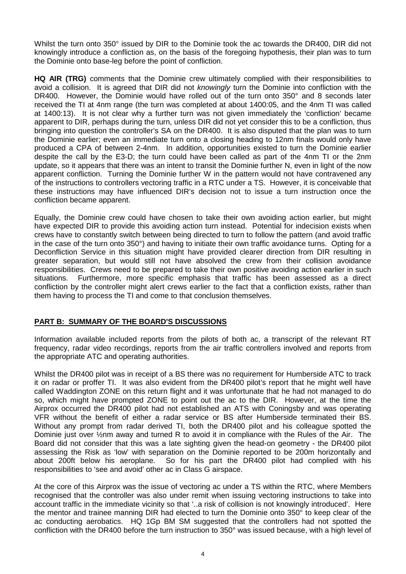Whilst the turn onto 350° issued by DIR to the Dominie took the ac towards the DR400, DIR did not knowingly introduce a confliction as, on the basis of the foregoing hypothesis, their plan was to turn the Dominie onto base-leg before the point of confliction.

**HQ AIR (TRG)** comments that the Dominie crew ultimately complied with their responsibilities to avoid a collision. It is agreed that DIR did not *knowingly* turn the Dominie into confliction with the DR400. However, the Dominie would have rolled out of the turn onto 350° and 8 seconds later received the TI at 4nm range (the turn was completed at about 1400:05, and the 4nm TI was called at 1400:13). It is not clear why a further turn was not given immediately the 'confliction' became apparent to DIR, perhaps during the turn, unless DIR did not yet consider this to be a confliction, thus bringing into question the controller's SA on the DR400. It is also disputed that the plan was to turn the Dominie earlier; even an immediate turn onto a closing heading to 12nm finals would only have produced a CPA of between 2-4nm. In addition, opportunities existed to turn the Dominie earlier despite the call by the E3-D; the turn could have been called as part of the 4nm TI or the 2nm update, so it appears that there was an intent to transit the Dominie further N, even in light of the now apparent confliction. Turning the Dominie further W in the pattern would not have contravened any of the instructions to controllers vectoring traffic in a RTC under a TS. However, it is conceivable that these instructions may have influenced DIR's decision not to issue a turn instruction once the confliction became apparent.

Equally, the Dominie crew could have chosen to take their own avoiding action earlier, but might have expected DIR to provide this avoiding action turn instead. Potential for indecision exists when crews have to constantly switch between being directed to turn to follow the pattern (and avoid traffic in the case of the turn onto 350°) and having to initiate their own traffic avoidance turns. Opting for a Deconfliction Service in this situation might have provided clearer direction from DIR resulting in greater separation, but would still not have absolved the crew from their collision avoidance responsibilities. Crews need to be prepared to take their own positive avoiding action earlier in such situations. Furthermore, more specific emphasis that traffic has been assessed as a direct confliction by the controller might alert crews earlier to the fact that a confliction exists, rather than them having to process the TI and come to that conclusion themselves.

## **PART B: SUMMARY OF THE BOARD'S DISCUSSIONS**

Information available included reports from the pilots of both ac, a transcript of the relevant RT frequency, radar video recordings, reports from the air traffic controllers involved and reports from the appropriate ATC and operating authorities.

Whilst the DR400 pilot was in receipt of a BS there was no requirement for Humberside ATC to track it on radar or proffer TI. It was also evident from the DR400 pilot's report that he might well have called Waddington ZONE on this return flight and it was unfortunate that he had not managed to do so, which might have prompted ZONE to point out the ac to the DIR. However, at the time the Airprox occurred the DR400 pilot had not established an ATS with Coningsby and was operating VFR without the benefit of either a radar service or BS after Humberside terminated their BS. Without any prompt from radar derived TI, both the DR400 pilot and his colleague spotted the Dominie just over ½nm away and turned R to avoid it in compliance with the Rules of the Air. The Board did not consider that this was a late sighting given the head-on geometry - the DR400 pilot assessing the Risk as 'low' with separation on the Dominie reported to be 200m horizontally and about 200ft below his aeroplane. So for his part the DR400 pilot had complied with his responsibilities to 'see and avoid' other ac in Class G airspace.

At the core of this Airprox was the issue of vectoring ac under a TS within the RTC, where Members recognised that the controller was also under remit when issuing vectoring instructions to take into account traffic in the immediate vicinity so that '..a risk of collision is not knowingly introduced'*.* Here the mentor and trainee manning DIR had elected to turn the Dominie onto 350° to keep clear of the ac conducting aerobatics. HQ 1Gp BM SM suggested that the controllers had not spotted the confliction with the DR400 before the turn instruction to 350° was issued because, with a high level of